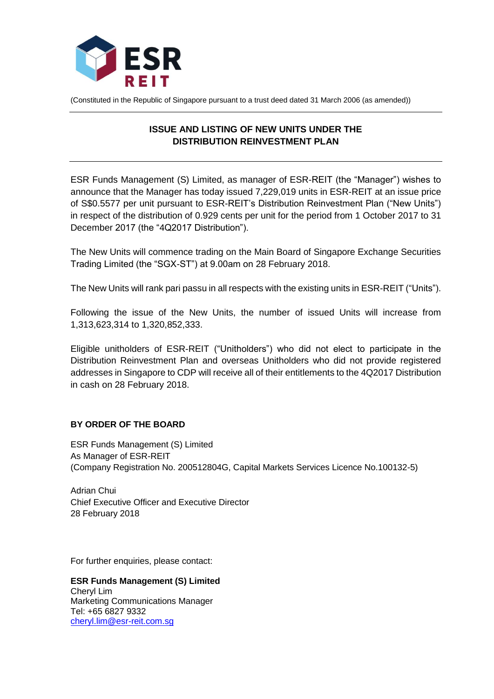

(Constituted in the Republic of Singapore pursuant to a trust deed dated 31 March 2006 (as amended))

## **ISSUE AND LISTING OF NEW UNITS UNDER THE DISTRIBUTION REINVESTMENT PLAN**

ESR Funds Management (S) Limited, as manager of ESR-REIT (the "Manager") wishes to announce that the Manager has today issued 7,229,019 units in ESR-REIT at an issue price of S\$0.5577 per unit pursuant to ESR-REIT's Distribution Reinvestment Plan ("New Units") in respect of the distribution of 0.929 cents per unit for the period from 1 October 2017 to 31 December 2017 (the "4Q2017 Distribution").

The New Units will commence trading on the Main Board of Singapore Exchange Securities Trading Limited (the "SGX-ST") at 9.00am on 28 February 2018.

The New Units will rank pari passu in all respects with the existing units in ESR-REIT ("Units").

Following the issue of the New Units, the number of issued Units will increase from 1,313,623,314 to 1,320,852,333.

Eligible unitholders of ESR-REIT ("Unitholders") who did not elect to participate in the Distribution Reinvestment Plan and overseas Unitholders who did not provide registered addresses in Singapore to CDP will receive all of their entitlements to the 4Q2017 Distribution in cash on 28 February 2018.

## **BY ORDER OF THE BOARD**

ESR Funds Management (S) Limited As Manager of ESR-REIT (Company Registration No. 200512804G, Capital Markets Services Licence No.100132-5)

Adrian Chui Chief Executive Officer and Executive Director 28 February 2018

For further enquiries, please contact:

**ESR Funds Management (S) Limited** Cheryl Lim Marketing Communications Manager Tel: +65 6827 9332 [cheryl.lim@esr-reit.com.sg](mailto:cheryl.lim@esr-reit.com.sg)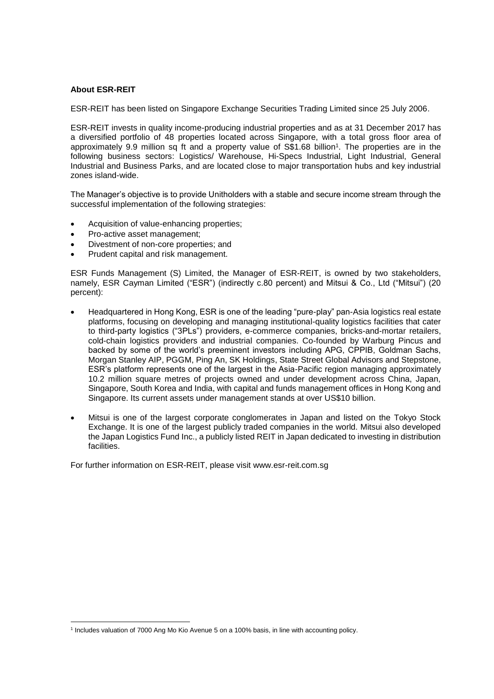## **About ESR-REIT**

1

ESR-REIT has been listed on Singapore Exchange Securities Trading Limited since 25 July 2006.

ESR-REIT invests in quality income-producing industrial properties and as at 31 December 2017 has a diversified portfolio of 48 properties located across Singapore, with a total gross floor area of approximately 9.9 million sq ft and a property value of S\$1.68 billion<sup>1</sup>. The properties are in the following business sectors: Logistics/ Warehouse, Hi-Specs Industrial, Light Industrial, General Industrial and Business Parks, and are located close to major transportation hubs and key industrial zones island-wide.

The Manager's objective is to provide Unitholders with a stable and secure income stream through the successful implementation of the following strategies:

- Acquisition of value-enhancing properties;
- Pro-active asset management;
- Divestment of non-core properties; and
- Prudent capital and risk management.

ESR Funds Management (S) Limited, the Manager of ESR-REIT, is owned by two stakeholders, namely, ESR Cayman Limited ("ESR") (indirectly c.80 percent) and Mitsui & Co., Ltd ("Mitsui") (20 percent):

- Headquartered in Hong Kong, ESR is one of the leading "pure-play" pan-Asia logistics real estate platforms, focusing on developing and managing institutional-quality logistics facilities that cater to third-party logistics ("3PLs") providers, e-commerce companies, bricks-and-mortar retailers, cold-chain logistics providers and industrial companies. Co-founded by Warburg Pincus and backed by some of the world's preeminent investors including APG, CPPIB, Goldman Sachs, Morgan Stanley AIP, PGGM, Ping An, SK Holdings, State Street Global Advisors and Stepstone, ESR's platform represents one of the largest in the Asia-Pacific region managing approximately 10.2 million square metres of projects owned and under development across China, Japan, Singapore, South Korea and India, with capital and funds management offices in Hong Kong and Singapore. Its current assets under management stands at over US\$10 billion.
- Mitsui is one of the largest corporate conglomerates in Japan and listed on the Tokyo Stock Exchange. It is one of the largest publicly traded companies in the world. Mitsui also developed the Japan Logistics Fund Inc., a publicly listed REIT in Japan dedicated to investing in distribution facilities.

For further information on ESR-REIT, please visit www.esr-reit.com.sg

<sup>1</sup> Includes valuation of 7000 Ang Mo Kio Avenue 5 on a 100% basis, in line with accounting policy.